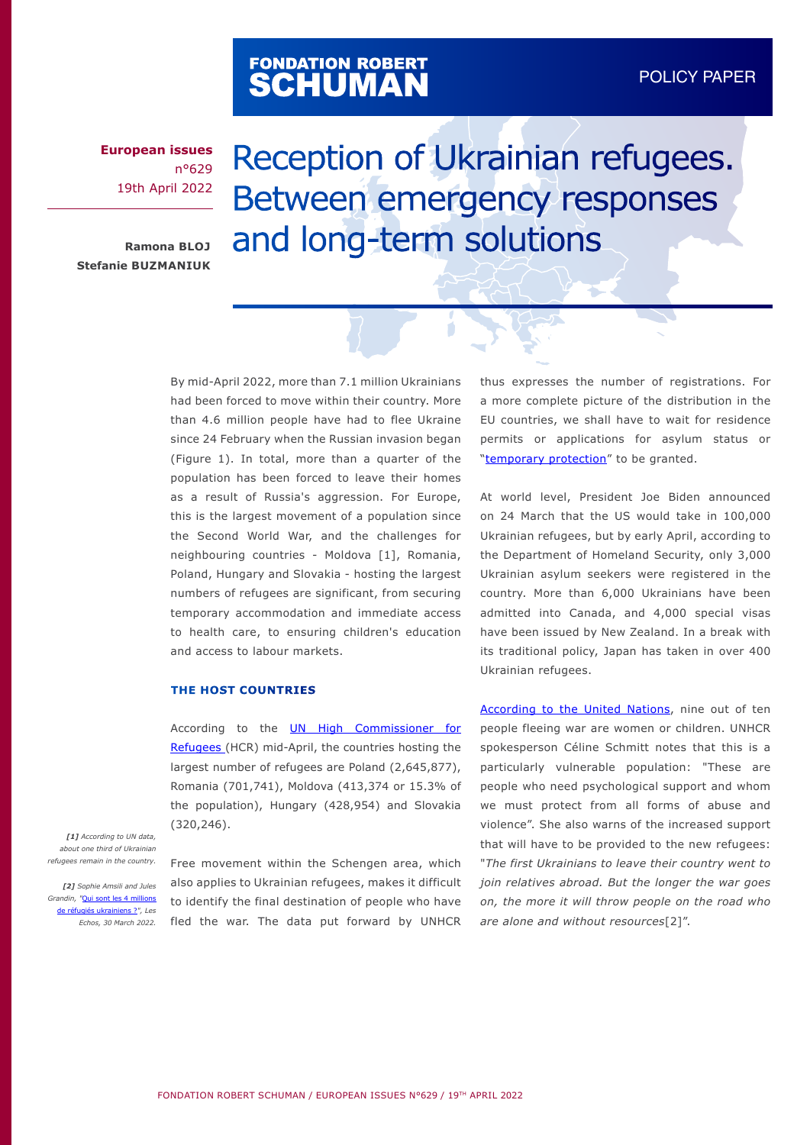# FONDATION ROBERT<br>**SCHUMAN**

**European issues** n°629 19th April 2022

**Ramona BLOJ Stefanie BUZMANIUK**

# Reception of Ukrainian refugees. Between emergency responses and long-term solutions

By mid-April 2022, more than 7.1 million Ukrainians had been forced to move within their country. More than 4.6 million people have had to flee Ukraine since 24 February when the Russian invasion began (Figure 1). In total, more than a quarter of the population has been forced to leave their homes as a result of Russia's aggression. For Europe, this is the largest movement of a population since the Second World War, and the challenges for neighbouring countries - Moldova [1], Romania, Poland, Hungary and Slovakia - hosting the largest numbers of refugees are significant, from securing temporary accommodation and immediate access to health care, to ensuring children's education and access to labour markets.

#### **THE HOST COUNTRIES**

According to the **UN High Commissioner for** [Refugees \(](https://data2.unhcr.org/en/situations/ukraine)HCR) mid-April, the countries hosting the largest number of refugees are Poland (2,645,877), Romania (701,741), Moldova (413,374 or 15.3% of the population), Hungary (428,954) and Slovakia (320,246).

*[1] According to UN data, about one third of Ukrainian refugees remain in the country.*

*[2] Sophie Amsili and Jules Grandin, "*[Qui sont les 4 millions](https://www.lesechos.fr/monde/europe/qui-sont-les-4-millions-de-refugies-ukrainiens-1397146)  [de réfugiés ukrainiens ?](https://www.lesechos.fr/monde/europe/qui-sont-les-4-millions-de-refugies-ukrainiens-1397146)*", Les Echos, 30 March 2022.*  Free movement within the Schengen area, which also applies to Ukrainian refugees, makes it difficult to identify the final destination of people who have fled the war. The data put forward by UNHCR thus expresses the number of registrations. For a more complete picture of the distribution in the EU countries, we shall have to wait for residence permits or applications for asylum status or "[temporary protection](https://www.europeanmigrationlaw.eu/en/articles/news/council-o-the-eu-implementing-decision-temporary-protection-ukraine.html)" to be granted.

At world level, President Joe Biden announced on 24 March that the US would take in 100,000 Ukrainian refugees, but by early April, according to the Department of Homeland Security, only 3,000 Ukrainian asylum seekers were registered in the country. More than 6,000 Ukrainians have been admitted into Canada, and 4,000 special visas have been issued by New Zealand. In a break with its traditional policy, Japan has taken in over 400 Ukrainian refugees.

[According to the United Nations,](https://news.un.org/en/story/2022/03/1113942) nine out of ten people fleeing war are women or children. UNHCR spokesperson Céline Schmitt notes that this is a particularly vulnerable population: "These are people who need psychological support and whom we must protect from all forms of abuse and violence". She also warns of the increased support that will have to be provided to the new refugees: "*The first Ukrainians to leave their country went to join relatives abroad. But the longer the war goes on, the more it will throw people on the road who are alone and without resources*[2]".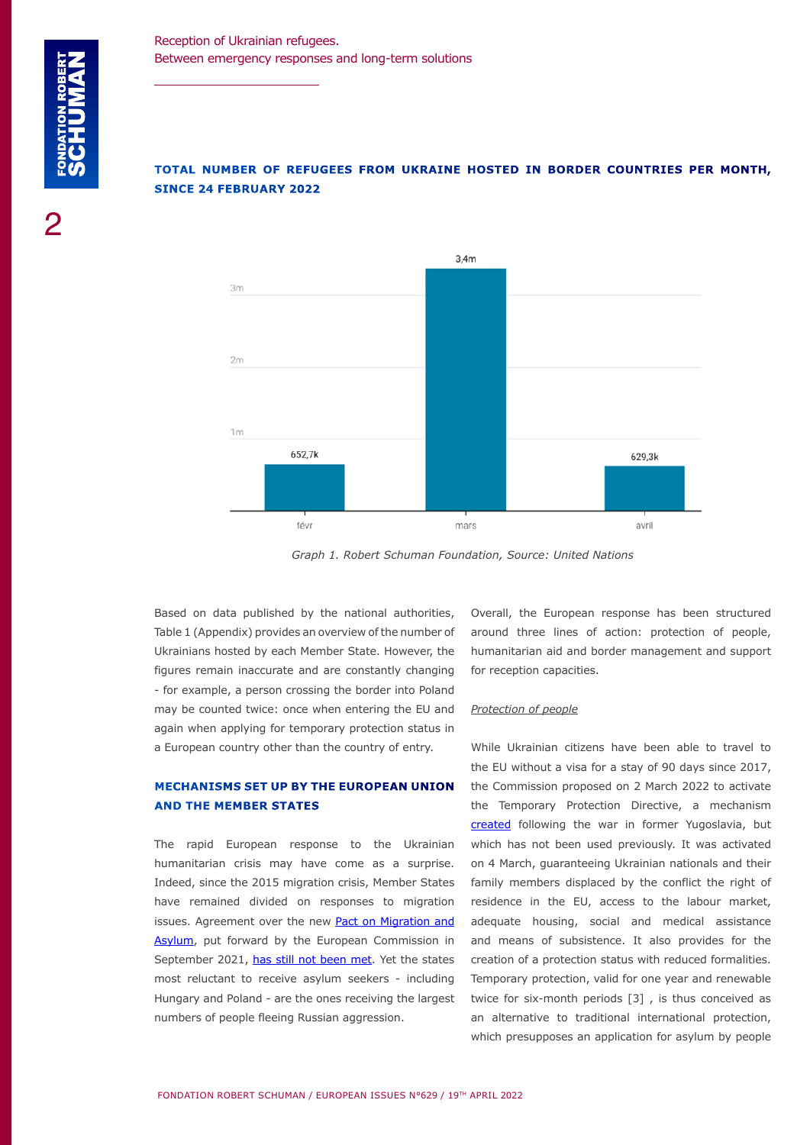# **TOTAL NUMBER OF REFUGEES FROM UKRAINE HOSTED IN BORDER COUNTRIES PER MONTH, SINCE 24 FEBRUARY 2022**



*Graph 1. Robert Schuman Foundation, Source: United Nations*

Based on data published by the national authorities, Table 1 (Appendix) provides an overview of the number of Ukrainians hosted by each Member State. However, the figures remain inaccurate and are constantly changing - for example, a person crossing the border into Poland may be counted twice: once when entering the EU and again when applying for temporary protection status in a European country other than the country of entry.

## **MECHANISMS SET UP BY THE EUROPEAN UNION AND THE MEMBER STATES**

The rapid European response to the Ukrainian humanitarian crisis may have come as a surprise. Indeed, since the 2015 migration crisis, Member States have remained divided on responses to migration issues. Agreement over the new [Pact on Migration and](https://www.robert-schuman.eu/en/doc/questions-d-europe/qe-577-en.pdf) [Asylum](https://www.robert-schuman.eu/en/doc/questions-d-europe/qe-577-en.pdf), put forward by the European Commission in September 2021, [has still not been met](https://www.robert-schuman.eu/en/doc/questions-d-europe/qe-609-en.pdf). Yet the states most reluctant to receive asylum seekers - including Hungary and Poland - are the ones receiving the largest numbers of people fleeing Russian aggression.

Overall, the European response has been structured around three lines of action: protection of people, humanitarian aid and border management and support for reception capacities.

#### *Protection of people*

While Ukrainian citizens have been able to travel to the EU without a visa for a stay of 90 days since 2017, the Commission proposed on 2 March 2022 to activate the Temporary Protection Directive, a mechanism [created](https://eur-lex.europa.eu/legal-content/EN/TXT/PDF/?uri=CELEX:32001L0055) following the war in former Yugoslavia, but which has not been used previously. It was activated on 4 March, guaranteeing Ukrainian nationals and their family members displaced by the conflict the right of residence in the EU, access to the labour market, adequate housing, social and medical assistance and means of subsistence. It also provides for the creation of a protection status with reduced formalities. Temporary protection, valid for one year and renewable twice for six-month periods [3] , is thus conceived as an alternative to traditional international protection, which presupposes an application for asylum by people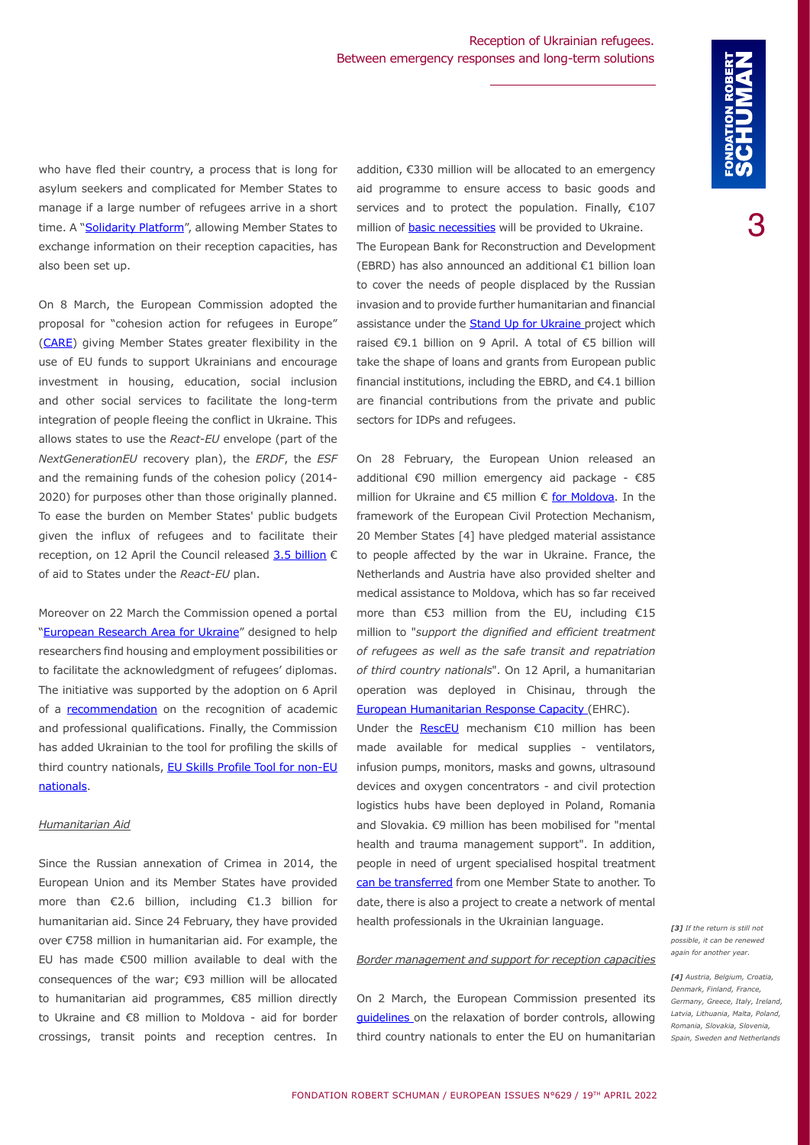who have fled their country, a process that is long for asylum seekers and complicated for Member States to manage if a large number of refugees arrive in a short time. A "[Solidarity Platform](https://ec.europa.eu/commission/presscorner/detail/en/IP_22_1610)", allowing Member States to exchange information on their reception capacities, has also been set up.

On 8 March, the European Commission adopted the proposal for "cohesion action for refugees in Europe" ([CARE](https://ec.europa.eu/commission/presscorner/detail/en/ip_22_1607)) giving Member States greater flexibility in the use of EU funds to support Ukrainians and encourage investment in housing, education, social inclusion and other social services to facilitate the long-term integration of people fleeing the conflict in Ukraine. This allows states to use the *React-EU* envelope (part of the *NextGenerationEU* recovery plan), the *ERDF*, the *ESF* and the remaining funds of the cohesion policy (2014- 2020) for purposes other than those originally planned. To ease the burden on Member States' public budgets given the influx of refugees and to facilitate their reception, on 12 April the Council released [3.5 billion](https://www.consilium.europa.eu/en/press/press-releases/2022/04/12/ukraine-increased-financing/) € of aid to States under the *React-EU* plan.

Moreover on 22 March the Commission opened a portal ["European Research Area for Ukraine"](https://ec.europa.eu/commission/presscorner/detail/en/ip_22_1942) designed to help researchers find housing and employment possibilities or to facilitate the acknowledgment of refugees' diplomas. The initiative was supported by the adoption on 6 April of a [recommendation](https://eur-lex.europa.eu/legal-content/FR/TXT/?uri=CELEX:32022H0554) on the recognition of academic and professional qualifications. Finally, the Commission has added Ukrainian to the tool for profiling the skills of third country nationals, [EU Skills Profile Tool for non-EU](https://ec.europa.eu/migrantskills/#/) [nationals.](https://ec.europa.eu/migrantskills/#/)

#### *Humanitarian Aid*

Since the Russian annexation of Crimea in 2014, the European Union and its Member States have provided more than €2.6 billion, including €1.3 billion for humanitarian aid. Since 24 February, they have provided over €758 million in humanitarian aid. For example, the EU has made €500 million available to deal with the consequences of the war; €93 million will be allocated to humanitarian aid programmes, €85 million directly to Ukraine and €8 million to Moldova - aid for border crossings, transit points and reception centres. In addition, €330 million will be allocated to an emergency aid programme to ensure access to basic goods and services and to protect the population. Finally, €107 million of **basic necessities** will be provided to Ukraine. The European Bank for Reconstruction and Development (EBRD) has also announced an additional €1 billion loan to cover the needs of people displaced by the Russian invasion and to provide further humanitarian and financial assistance under the [Stand Up for Ukraine p](https://ec.europa.eu/commission/presscorner/detail/en/ip_22_2382)roject which raised €9.1 billion on 9 April. A total of €5 billion will take the shape of loans and grants from European public financial institutions, including the EBRD, and €4.1 billion are financial contributions from the private and public sectors for IDPs and refugees.

On 28 February, the European Union released an additional €90 million emergency aid package - €85 million for Ukraine and €5 million € [for Moldova.](https://ec.europa.eu/commission/presscorner/detail/en/ip_22_1462) In the framework of the European Civil Protection Mechanism, 20 Member States [4] have pledged material assistance to people affected by the war in Ukraine. France, the Netherlands and Austria have also provided shelter and medical assistance to Moldova, which has so far received more than €53 million from the EU, including €15 million to "*support the dignified and efficient treatment of refugees as well as the safe transit and repatriation of third country nationals*". On 12 April, a humanitarian operation was deployed in Chisinau, through the [European Humanitarian Response Capacity \(](https://ec.europa.eu/echo/what/humanitarian-aid/european-humanitarian-response-capacity-ehrc_fr)EHRC).

Under the **[RescEU](https://ec.europa.eu/info/strategy/priorities-2019-2024/stronger-europe-world/eu-solidarity-ukraine/eu-assistance-ukraine_en)** mechanism €10 million has been made available for medical supplies - ventilators, infusion pumps, monitors, masks and gowns, ultrasound devices and oxygen concentrators - and civil protection logistics hubs have been deployed in Poland, Romania and Slovakia. €9 million has been mobilised for "mental health and trauma management support". In addition, people in need of urgent specialised hospital treatment [can be transferred](https://ec.europa.eu/commission/presscorner/detail/en/ip_22_1946) from one Member State to another. To date, there is also a project to create a network of mental health professionals in the Ukrainian language.

#### *Border management and support for reception capacities*

On 2 March, the European Commission presented its [guidelines](https://eur-lex.europa.eu/legal-content/EN/TXT/HTML/?uri=CELEX:52022XC0304(10)&from=EN) on the relaxation of border controls, allowing third country nationals to enter the EU on humanitarian *[3] If the return is still not possible, it can be renewed again for another year.* 

*[4] Austria, Belgium, Croatia, Denmark, Finland, France, Germany, Greece, Italy, Ireland, Latvia, Lithuania, Malta, Poland, Romania, Slovakia, Slovenia, Spain, Sweden and Netherlands*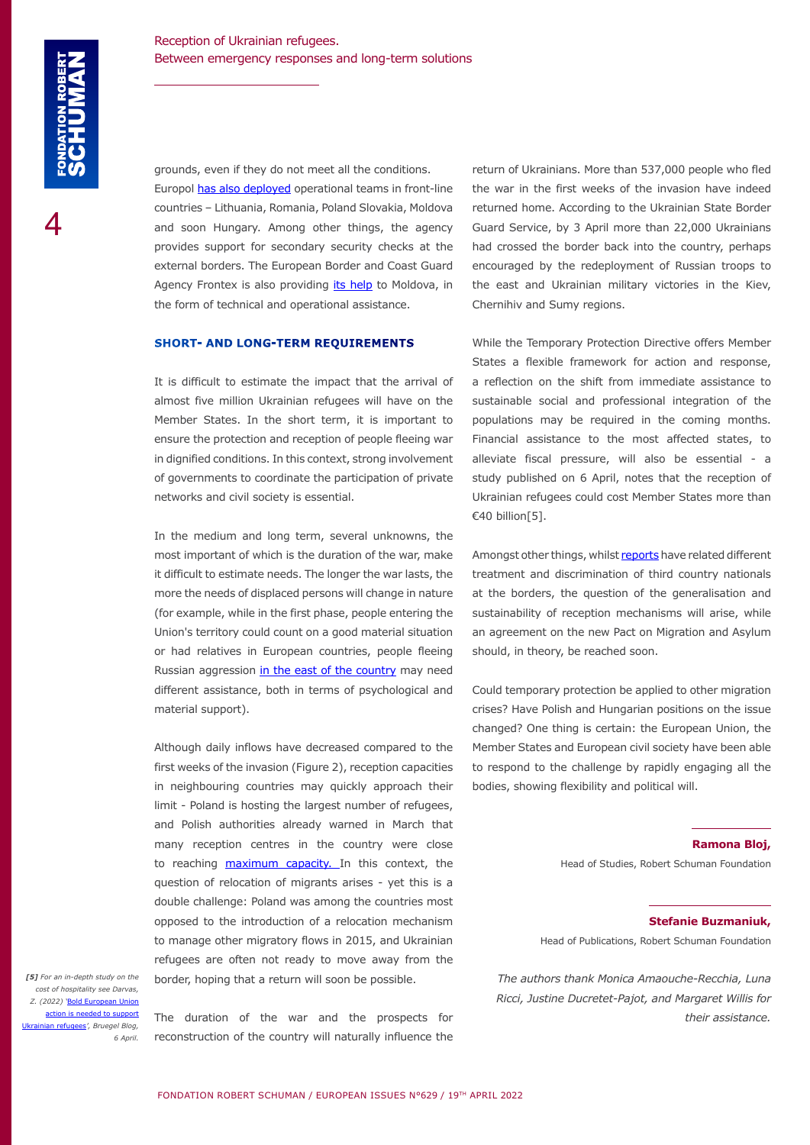grounds, even if they do not meet all the conditions.

Europol [has also deployed](https://www.europol.europa.eu/media-press/newsroom/news/war-in-ukraine-europol-deploys-operational-teams-to-all-frontline-partner-countries) operational teams in front-line countries – Lithuania, Romania, Poland Slovakia, Moldova and soon Hungary. Among other things, the agency provides support for secondary security checks at the external borders. The European Border and Coast Guard Agency Frontex is also providing *its help* to Moldova, in the form of technical and operational assistance.

#### **SHORT- AND LONG-TERM REQUIREMENTS**

It is difficult to estimate the impact that the arrival of almost five million Ukrainian refugees will have on the Member States. In the short term, it is important to ensure the protection and reception of people fleeing war in dignified conditions. In this context, strong involvement of governments to coordinate the participation of private networks and civil society is essential.

In the medium and long term, several unknowns, the most important of which is the duration of the war, make it difficult to estimate needs. The longer the war lasts, the more the needs of displaced persons will change in nature (for example, while in the first phase, people entering the Union's territory could count on a good material situation or had relatives in European countries, people fleeing Russian aggression [in the east of the country](https://news.un.org/en/focus/ukraine) may need different assistance, both in terms of psychological and material support).

Although daily inflows have decreased compared to the first weeks of the invasion (Figure 2), reception capacities in neighbouring countries may quickly approach their limit - Poland is hosting the largest number of refugees, and Polish authorities already warned in March that many reception centres in the country were close to reaching [maximum capacity. I](https://www.unhcr.org/news/press/2022/3/6234811a4/poland-welcomes-million-refugees-ukraine.html)n this context, the question of relocation of migrants arises - yet this is a double challenge: Poland was among the countries most opposed to the introduction of a relocation mechanism to manage other migratory flows in 2015, and Ukrainian refugees are often not ready to move away from the border, hoping that a return will soon be possible.

*[5] For an in-depth study on the cost of hospitality see Darvas, Z. (2022) '*[Bold European Union](https://www.bruegel.org/2022/04/bold-european-union-action-is-needed-to-support-ukrainian-refugees/) [action is needed to support](https://www.bruegel.org/2022/04/bold-european-union-action-is-needed-to-support-ukrainian-refugees/) ian refugees<sup>'</sup>, Bruegel Blog, *6 April.* 

The duration of the war and the prospects for reconstruction of the country will naturally influence the

return of Ukrainians. More than 537,000 people who fled the war in the first weeks of the invasion have indeed returned home. According to the Ukrainian State Border Guard Service, by 3 April more than 22,000 Ukrainians had crossed the border back into the country, perhaps encouraged by the redeployment of Russian troops to the east and Ukrainian military victories in the Kiev, Chernihiv and Sumy regions.

While the Temporary Protection Directive offers Member States a flexible framework for action and response, a reflection on the shift from immediate assistance to sustainable social and professional integration of the populations may be required in the coming months. Financial assistance to the most affected states, to alleviate fiscal pressure, will also be essential - a study published on 6 April, notes that the reception of Ukrainian refugees could cost Member States more than €40 billion[5].

Amongst other things, whilst [reports](https://news.un.org/en/story/2022/03/1114282) have related different treatment and discrimination of third country nationals at the borders, the question of the generalisation and sustainability of reception mechanisms will arise, while an agreement on the new Pact on Migration and Asylum should, in theory, be reached soon.

Could temporary protection be applied to other migration crises? Have Polish and Hungarian positions on the issue changed? One thing is certain: the European Union, the Member States and European civil society have been able to respond to the challenge by rapidly engaging all the bodies, showing flexibility and political will.

**Ramona Bloj,**

Head of Studies, Robert Schuman Foundation

#### **Stefanie Buzmaniuk,**

Head of Publications, Robert Schuman Foundation

*The authors thank Monica Amaouche-Recchia, Luna Ricci, Justine Ducretet-Pajot, and Margaret Willis for their assistance.*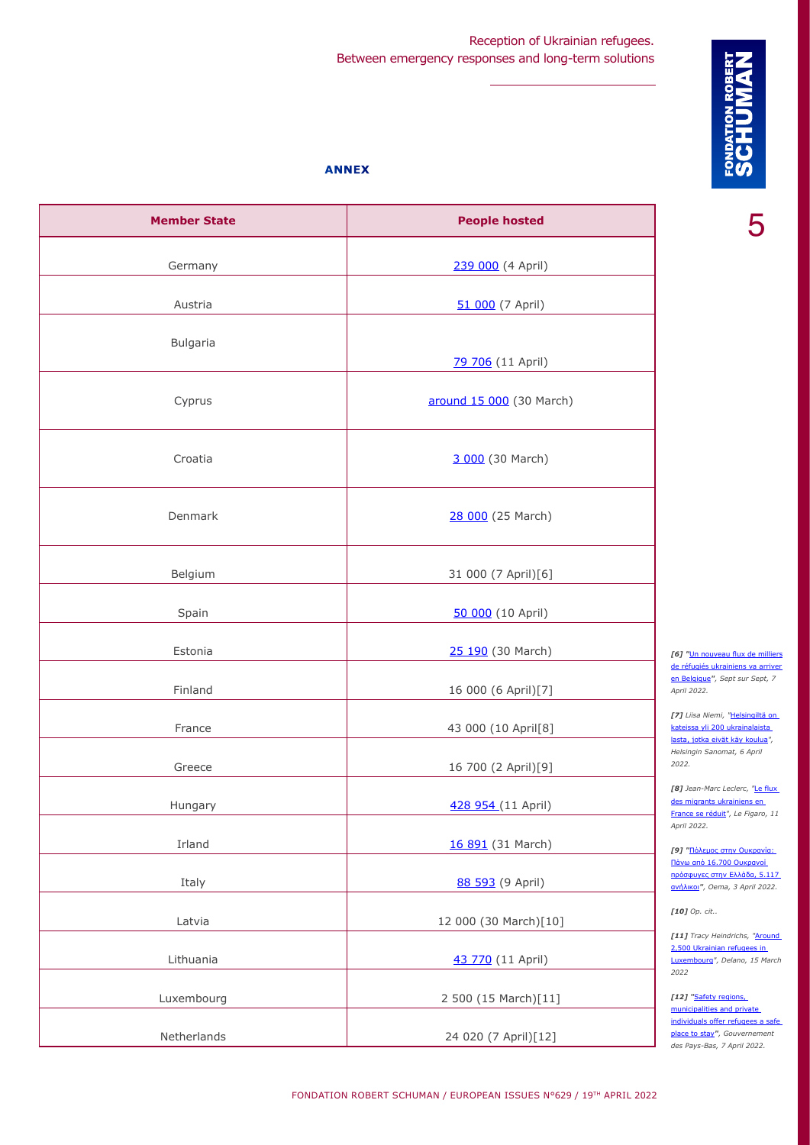# Reception of Ukrainian refugees. Between emergency responses and long-term solutions

### **ANNEX**

| <b>Member State</b> | <b>People hosted</b>     |
|---------------------|--------------------------|
| Germany             | 239 000 (4 April)        |
| Austria             | 51 000 (7 April)         |
| Bulgaria            | 79 706 (11 April)        |
| Cyprus              | around 15 000 (30 March) |
| Croatia             | 3 000 (30 March)         |
| Denmark             | 28 000 (25 March)        |
| Belgium             | 31 000 (7 April)[6]      |
| Spain               | 50 000 (10 April)        |
| Estonia             | 25 190 (30 March)        |
| Finland             | 16 000 (6 April)[7]      |
| France              | 43 000 (10 April[8]      |
| Greece              | 16 700 (2 April)[9]      |
| Hungary             | 428 954 (11 April)       |
| Irland              | 16 891 (31 March)        |
| Italy               | 88 593 (9 April)         |
| Latvia              | 12 000 (30 March)[10]    |
| Lithuania           | 43 770 (11 April)        |
| Luxembourg          | 2 500 (15 March)[11]     |
| Netherlands         | 24 020 (7 April)[12]     |

5

*[6] "*[Un nouveau flux de milliers](https://www.7sur7.be/belgique/un-nouveau-flux-de-milliers-de-refugies-ukrainiens-va-arriver-en-belgique~ad9d0e06/?referrer=https%3A%2F%2Fwww.google.com%2F) de réfugiés ukrainiens va arriver [en Belgique](https://www.7sur7.be/belgique/un-nouveau-flux-de-milliers-de-refugies-ukrainiens-va-arriver-en-belgique~ad9d0e06/?referrer=https%3A%2F%2Fwww.google.com%2F)*", Sept sur Sept, 7 April 2022.*

*[7] Liisa Niemi, "*[Helsingiltä on](https://www.hs.fi/kaupunki/art-2000008730431.html?share=8fe1707d21ca38ae3b1affc154a24998)  [kateissa yli 200 ukrainalaista](https://www.hs.fi/kaupunki/art-2000008730431.html?share=8fe1707d21ca38ae3b1affc154a24998)  [lasta, jotka eivät käy koulua](https://www.hs.fi/kaupunki/art-2000008730431.html?share=8fe1707d21ca38ae3b1affc154a24998)*", Helsingin Sanomat, 6 April 2022.*

*[8] Jean-Marc Leclerc, "*[Le flux](https://www.lefigaro.fr/actualite-france/le-flux-des-migrants-ukrainiens-en-france-se-reduit-20220411)  [des migrants ukrainiens en](https://www.lefigaro.fr/actualite-france/le-flux-des-migrants-ukrainiens-en-france-se-reduit-20220411)  [France se réduit](https://www.lefigaro.fr/actualite-france/le-flux-des-migrants-ukrainiens-en-france-se-reduit-20220411)*", Le Figaro, 11 April 2022.*

*[9] "*[Πόλεμος στην Ουκρανία:](https://www.protothema.gr/world/article/1228867/polemos-stin-oukrania-pano-apo-16700-oukranoi-prosfuges-stin-ellada-5117-anilikoi/)  [Πάνω από 16.700 Ουκρανοί](https://www.protothema.gr/world/article/1228867/polemos-stin-oukrania-pano-apo-16700-oukranoi-prosfuges-stin-ellada-5117-anilikoi/)  [πρόσφυγες στην Ελλάδα, 5.117](https://www.protothema.gr/world/article/1228867/polemos-stin-oukrania-pano-apo-16700-oukranoi-prosfuges-stin-ellada-5117-anilikoi/)  [ανήλικοι](https://www.protothema.gr/world/article/1228867/polemos-stin-oukrania-pano-apo-16700-oukranoi-prosfuges-stin-ellada-5117-anilikoi/)*", Oema, 3 April 2022.*

*[10] Op. cit..*

*[11] Tracy Heindrichs, "*[Around](https://delano.lu/article/around-2500-ukrainian-refugees)  [2,500 Ukrainian refugees in](https://delano.lu/article/around-2500-ukrainian-refugees)  [Luxembourg](https://delano.lu/article/around-2500-ukrainian-refugees)*", Delano, 15 March 2022*

*[12] "*[Safety regions,](https://www.government.nl/latest/news/2022/04/07/safety-regions-municipalities-and-private-individuals-offer-refugees-a-safe-place-to-stay)  municipalities and private [individuals offer refugees a safe](https://www.government.nl/latest/news/2022/04/07/safety-regions-municipalities-and-private-individuals-offer-refugees-a-safe-place-to-stay)  [place to stay](https://www.government.nl/latest/news/2022/04/07/safety-regions-municipalities-and-private-individuals-offer-refugees-a-safe-place-to-stay)*", Gouvernement des Pays-Bas, 7 April 2022.*